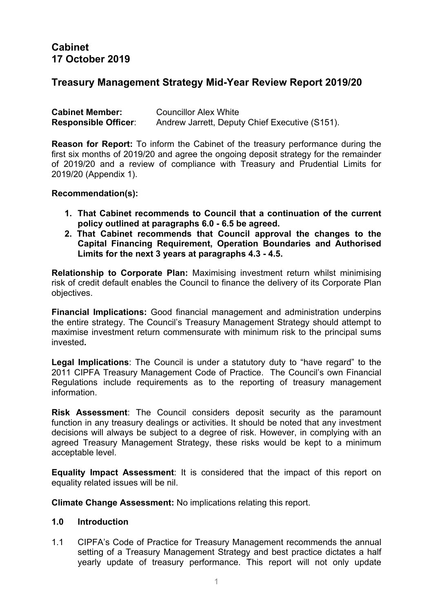# **Cabinet 17 October 2019**

# **Treasury Management Strategy Mid-Year Review Report 2019/20**

| <b>Cabinet Member:</b>      | <b>Councillor Alex White</b>                   |
|-----------------------------|------------------------------------------------|
| <b>Responsible Officer:</b> | Andrew Jarrett, Deputy Chief Executive (S151). |

**Reason for Report:** To inform the Cabinet of the treasury performance during the first six months of 2019/20 and agree the ongoing deposit strategy for the remainder of 2019/20 and a review of compliance with Treasury and Prudential Limits for 2019/20 (Appendix 1).

#### **Recommendation(s):**

- **1. That Cabinet recommends to Council that a continuation of the current policy outlined at paragraphs 6.0 - 6.5 be agreed.**
- **2. That Cabinet recommends that Council approval the changes to the Capital Financing Requirement, Operation Boundaries and Authorised Limits for the next 3 years at paragraphs 4.3 - 4.5.**

**Relationship to Corporate Plan:** Maximising investment return whilst minimising risk of credit default enables the Council to finance the delivery of its Corporate Plan objectives.

**Financial Implications:** Good financial management and administration underpins the entire strategy. The Council's Treasury Management Strategy should attempt to maximise investment return commensurate with minimum risk to the principal sums invested**.**

**Legal Implications**: The Council is under a statutory duty to "have regard" to the 2011 CIPFA Treasury Management Code of Practice. The Council's own Financial Regulations include requirements as to the reporting of treasury management information.

**Risk Assessment**: The Council considers deposit security as the paramount function in any treasury dealings or activities. It should be noted that any investment decisions will always be subject to a degree of risk. However, in complying with an agreed Treasury Management Strategy, these risks would be kept to a minimum acceptable level.

**Equality Impact Assessment**: It is considered that the impact of this report on equality related issues will be nil.

**Climate Change Assessment:** No implications relating this report.

#### **1.0 Introduction**

1.1 CIPFA's Code of Practice for Treasury Management recommends the annual setting of a Treasury Management Strategy and best practice dictates a half yearly update of treasury performance. This report will not only update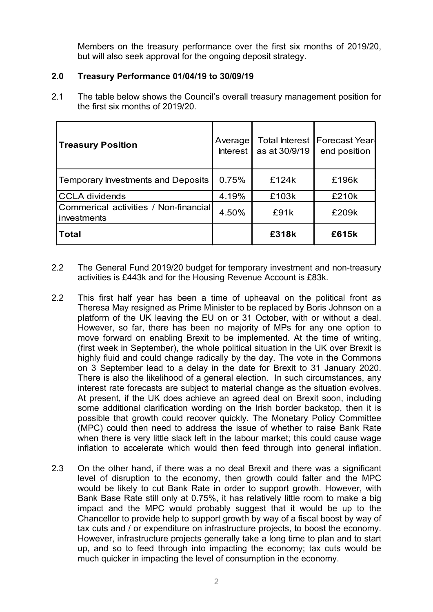Members on the treasury performance over the first six months of 2019/20, but will also seek approval for the ongoing deposit strategy.

## **2.0 Treasury Performance 01/04/19 to 30/09/19**

2.1 The table below shows the Council's overall treasury management position for the first six months of 2019/20.

| <b>Treasury Position</b>                             | Average<br>Interest I | as at 30/9/19 | Total Interest   Forecast Year-<br>end position |  |
|------------------------------------------------------|-----------------------|---------------|-------------------------------------------------|--|
| Temporary Investments and Deposits                   | 0.75%                 | £124k         | £196k                                           |  |
| <b>CCLA dividends</b>                                | 4.19%                 | £103k         | £210k                                           |  |
| Commerical activities / Non-financial<br>investments | 4.50%                 | £91k          | £209k                                           |  |
| <b>Total</b>                                         |                       | £318k         | £615k                                           |  |

- 2.2 The General Fund 2019/20 budget for temporary investment and non-treasury activities is £443k and for the Housing Revenue Account is £83k.
- 2.2 This first half year has been a time of upheaval on the political front as Theresa May resigned as Prime Minister to be replaced by Boris Johnson on a platform of the UK leaving the EU on or 31 October, with or without a deal. However, so far, there has been no majority of MPs for any one option to move forward on enabling Brexit to be implemented. At the time of writing, (first week in September), the whole political situation in the UK over Brexit is highly fluid and could change radically by the day. The vote in the Commons on 3 September lead to a delay in the date for Brexit to 31 January 2020. There is also the likelihood of a general election. In such circumstances, any interest rate forecasts are subject to material change as the situation evolves. At present, if the UK does achieve an agreed deal on Brexit soon, including some additional clarification wording on the Irish border backstop, then it is possible that growth could recover quickly. The Monetary Policy Committee (MPC) could then need to address the issue of whether to raise Bank Rate when there is very little slack left in the labour market; this could cause wage inflation to accelerate which would then feed through into general inflation.
- 2.3 On the other hand, if there was a no deal Brexit and there was a significant level of disruption to the economy, then growth could falter and the MPC would be likely to cut Bank Rate in order to support growth. However, with Bank Base Rate still only at 0.75%, it has relatively little room to make a big impact and the MPC would probably suggest that it would be up to the Chancellor to provide help to support growth by way of a fiscal boost by way of tax cuts and / or expenditure on infrastructure projects, to boost the economy. However, infrastructure projects generally take a long time to plan and to start up, and so to feed through into impacting the economy; tax cuts would be much quicker in impacting the level of consumption in the economy.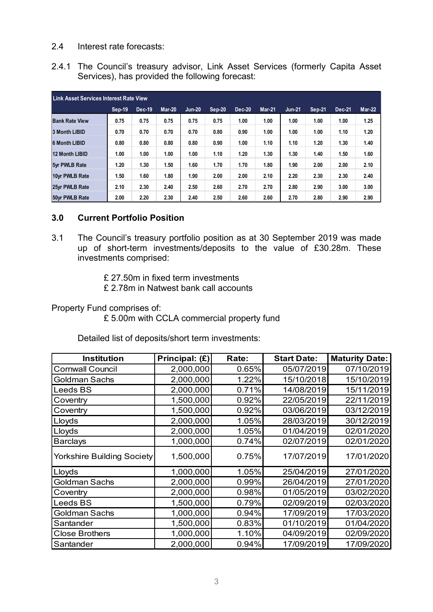## 2.4 Interest rate forecasts:

2.4.1 The Council's treasury advisor, Link Asset Services (formerly Capita Asset Services), has provided the following forecast:

| <b>Link Asset Services Interest Rate View</b> |        |        |               |               |          |               |               |               |        |               |               |
|-----------------------------------------------|--------|--------|---------------|---------------|----------|---------------|---------------|---------------|--------|---------------|---------------|
|                                               | Sep-19 | Dec-19 | <b>Mar-20</b> | <b>Jun-20</b> | $Sep-20$ | <b>Dec-20</b> | <b>Mar-21</b> | <b>Jun-21</b> | Sep-21 | <b>Dec-21</b> | <b>Mar-22</b> |
| <b>Bank Rate View</b>                         | 0.75   | 0.75   | 0.75          | 0.75          | 0.75     | 1.00          | 1.00          | 1.00          | 1.00   | 1.00          | 1.25          |
| <b>3 Month LIBID</b>                          | 0.70   | 0.70   | 0.70          | 0.70          | 0.80     | 0.90          | 1.00          | 1.00          | 1.00   | 1.10          | 1.20          |
| <b>6 Month LIBID</b>                          | 0.80   | 0.80   | 0.80          | 0.80          | 0.90     | 1.00          | 1.10          | 1.10          | 1.20   | 1.30          | 1.40          |
| 12 Month LIBID                                | 1.00   | 1.00   | 1.00          | 1.00          | 1.10     | 1.20          | 1.30          | 1.30          | 1.40   | 1.50          | 1.60          |
| 5yr PWLB Rate                                 | 1.20   | 1.30   | 1.50          | 1.60          | 1.70     | 1.70          | 1.80          | 1.90          | 2.00   | 2.00          | 2.10          |
| 10yr PWLB Rate                                | 1.50   | 1.60   | 1.80          | 1.90          | 2.00     | 2.00          | 2.10          | 2.20          | 2.30   | 2.30          | 2.40          |
| 25yr PWLB Rate                                | 2.10   | 2.30   | 2.40          | 2.50          | 2.60     | 2.70          | 2.70          | 2.80          | 2.90   | 3.00          | 3.00          |
| 50yr PWLB Rate                                | 2.00   | 2.20   | 2.30          | 2.40          | 2.50     | 2.60          | 2.60          | 2.70          | 2.80   | 2.90          | 2.90          |

## **3.0 Current Portfolio Position**

- 3.1 The Council's treasury portfolio position as at 30 September 2019 was made up of short-term investments/deposits to the value of £30.28m. These investments comprised:
	- £ 27.50m in fixed term investments

£ 2.78m in Natwest bank call accounts

Property Fund comprises of:

£ 5.00m with CCLA commercial property fund

Detailed list of deposits/short term investments:

| <b>Institution</b>         | Principal: (£) | Rate: | <b>Start Date:</b> | <b>Maturity Date:</b> |
|----------------------------|----------------|-------|--------------------|-----------------------|
| <b>Cornwall Council</b>    | 2,000,000      | 0.65% | 05/07/2019         | 07/10/2019            |
| Goldman Sachs              | 2,000,000      | 1.22% | 15/10/2018         | 15/10/2019            |
| Leeds BS                   | 2,000,000      | 0.71% | 14/08/2019         | 15/11/2019            |
| Coventry                   | 1,500,000      | 0.92% | 22/05/2019         | 22/11/2019            |
| Coventry                   | 1,500,000      | 0.92% | 03/06/2019         | 03/12/2019            |
| Lloyds                     | 2,000,000      | 1.05% | 28/03/2019         | 30/12/2019            |
| Lloyds                     | 2,000,000      | 1.05% | 01/04/2019         | 02/01/2020            |
| <b>Barclays</b>            | 1,000,000      | 0.74% | 02/07/2019         | 02/01/2020            |
| Yorkshire Building Society | 1,500,000      | 0.75% | 17/07/2019         | 17/01/2020            |
| Lloyds                     | 1,000,000      | 1.05% | 25/04/2019         | 27/01/2020            |
| Goldman Sachs              | 2,000,000      | 0.99% | 26/04/2019         | 27/01/2020            |
| Coventry                   | 2,000,000      | 0.98% | 01/05/2019         | 03/02/2020            |
| Leeds BS                   | 1,500,000      | 0.79% | 02/09/2019         | 02/03/2020            |
| Goldman Sachs              | 1,000,000      | 0.94% | 17/09/2019         | 17/03/2020            |
| Santander                  | 1,500,000      | 0.83% | 01/10/2019         | 01/04/2020            |
| <b>Close Brothers</b>      | 1,000,000      | 1.10% | 04/09/2019         | 02/09/2020            |
| Santander                  | 2,000,000      | 0.94% | 17/09/2019         | 17/09/2020            |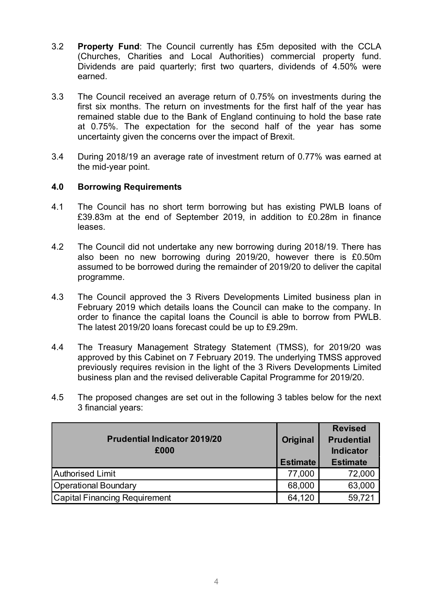- 3.2 **Property Fund**: The Council currently has £5m deposited with the CCLA (Churches, Charities and Local Authorities) commercial property fund. Dividends are paid quarterly; first two quarters, dividends of 4.50% were earned.
- 3.3 The Council received an average return of 0.75% on investments during the first six months. The return on investments for the first half of the year has remained stable due to the Bank of England continuing to hold the base rate at 0.75%. The expectation for the second half of the year has some uncertainty given the concerns over the impact of Brexit.
- 3.4 During 2018/19 an average rate of investment return of 0.77% was earned at the mid-year point.

## **4.0 Borrowing Requirements**

- 4.1 The Council has no short term borrowing but has existing PWLB loans of £39.83m at the end of September 2019, in addition to £0.28m in finance leases.
- 4.2 The Council did not undertake any new borrowing during 2018/19. There has also been no new borrowing during 2019/20, however there is £0.50m assumed to be borrowed during the remainder of 2019/20 to deliver the capital programme.
- 4.3 The Council approved the 3 Rivers Developments Limited business plan in February 2019 which details loans the Council can make to the company. In order to finance the capital loans the Council is able to borrow from PWLB. The latest 2019/20 loans forecast could be up to £9.29m.
- 4.4 The Treasury Management Strategy Statement (TMSS), for 2019/20 was approved by this Cabinet on 7 February 2019. The underlying TMSS approved previously requires revision in the light of the 3 Rivers Developments Limited business plan and the revised deliverable Capital Programme for 2019/20.
- 4.5 The proposed changes are set out in the following 3 tables below for the next 3 financial years:

| <b>Prudential Indicator 2019/20</b><br>£000 | <b>Original</b><br><b>Estimate</b> | <b>Revised</b><br><b>Prudential</b><br><b>Indicator</b><br><b>Estimate</b> |
|---------------------------------------------|------------------------------------|----------------------------------------------------------------------------|
| <b>Authorised Limit</b>                     | 77,000                             | 72,000                                                                     |
| <b>Operational Boundary</b>                 | 68,000                             | 63,000                                                                     |
| <b>Capital Financing Requirement</b>        | 64,120                             | 59,721                                                                     |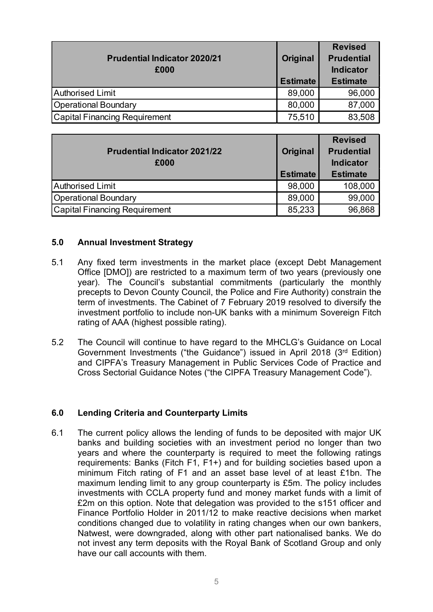| <b>Prudential Indicator 2020/21</b><br>£000 | Original<br><b>Estimate</b> | <b>Revised</b><br><b>Prudential</b><br><b>Indicator</b><br><b>Estimate</b> |
|---------------------------------------------|-----------------------------|----------------------------------------------------------------------------|
| <b>Authorised Limit</b>                     | 89,000                      | 96,000                                                                     |
| <b>Operational Boundary</b>                 | 80,000                      | 87,000                                                                     |
| <b>Capital Financing Requirement</b>        | 75,510                      | 83,508                                                                     |

| <b>Prudential Indicator 2021/22</b><br>£000 | Original<br><b>Estimate</b> | <b>Revised</b><br><b>Prudential</b><br><b>Indicator</b><br><b>Estimate</b> |
|---------------------------------------------|-----------------------------|----------------------------------------------------------------------------|
| <b>Authorised Limit</b>                     | 98,000                      | 108,000                                                                    |
| <b>Operational Boundary</b>                 | 89,000                      | 99,000                                                                     |
| <b>Capital Financing Requirement</b>        | 85,233                      | 96,868                                                                     |

#### **5.0 Annual Investment Strategy**

- 5.1 Any fixed term investments in the market place (except Debt Management Office [DMO]) are restricted to a maximum term of two years (previously one year). The Council's substantial commitments (particularly the monthly precepts to Devon County Council, the Police and Fire Authority) constrain the term of investments. The Cabinet of 7 February 2019 resolved to diversify the investment portfolio to include non-UK banks with a minimum Sovereign Fitch rating of AAA (highest possible rating).
- 5.2 The Council will continue to have regard to the MHCLG's Guidance on Local Government Investments ("the Guidance") issued in April 2018 (3rd Edition) and CIPFA's Treasury Management in Public Services Code of Practice and Cross Sectorial Guidance Notes ("the CIPFA Treasury Management Code").

## **6.0 Lending Criteria and Counterparty Limits**

6.1 The current policy allows the lending of funds to be deposited with major UK banks and building societies with an investment period no longer than two years and where the counterparty is required to meet the following ratings requirements: Banks (Fitch F1, F1+) and for building societies based upon a minimum Fitch rating of F1 and an asset base level of at least £1bn. The maximum lending limit to any group counterparty is £5m. The policy includes investments with CCLA property fund and money market funds with a limit of £2m on this option. Note that delegation was provided to the s151 officer and Finance Portfolio Holder in 2011/12 to make reactive decisions when market conditions changed due to volatility in rating changes when our own bankers, Natwest, were downgraded, along with other part nationalised banks. We do not invest any term deposits with the Royal Bank of Scotland Group and only have our call accounts with them.